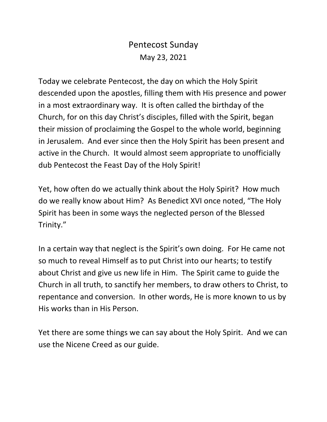## Pentecost Sunday May 23, 2021

Today we celebrate Pentecost, the day on which the Holy Spirit descended upon the apostles, filling them with His presence and power in a most extraordinary way. It is often called the birthday of the Church, for on this day Christ's disciples, filled with the Spirit, began their mission of proclaiming the Gospel to the whole world, beginning in Jerusalem. And ever since then the Holy Spirit has been present and active in the Church. It would almost seem appropriate to unofficially dub Pentecost the Feast Day of the Holy Spirit!

Yet, how often do we actually think about the Holy Spirit? How much do we really know about Him? As Benedict XVI once noted, "The Holy Spirit has been in some ways the neglected person of the Blessed Trinity."

In a certain way that neglect is the Spirit's own doing. For He came not so much to reveal Himself as to put Christ into our hearts; to testify about Christ and give us new life in Him. The Spirit came to guide the Church in all truth, to sanctify her members, to draw others to Christ, to repentance and conversion. In other words, He is more known to us by His works than in His Person.

Yet there are some things we can say about the Holy Spirit. And we can use the Nicene Creed as our guide.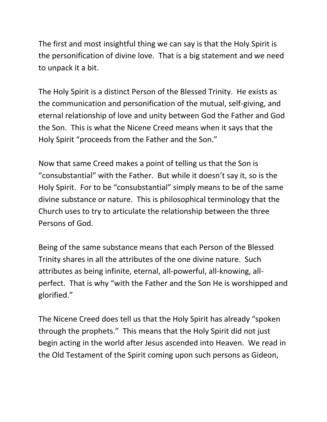The first and most insightful thing we can say is that the Holy Spirit is the personification of divine love. That is a big statement and we need to unpack it a bit.

The Holy Spirit is a distinct Person of the Blessed Trinity. He exists as the communication and personification of the mutual, self-giving, and eternal relationship of love and unity between God the Father and God the Son. This is what the Nicene Creed means when it says that the Holy Spirit "proceeds from the Father and the Son."

Now that same Creed makes a point of telling us that the Son is "consubstantial" with the Father. But while it doesn't say it, so is the Holy Spirit. For to be "consubstantial" simply means to be of the same divine substance or nature. This is philosophical terminology that the Church uses to try to articulate the relationship between the three Persons of God.

Being of the same substance means that each Person of the Blessed Trinity shares in all the attributes of the one divine nature. Such attributes as being infinite, eternal, all-powerful, all-knowing, allperfect. That is why "with the Father and the Son He is worshipped and glorified."

The Nicene Creed does tell us that the Holy Spirit has already "spoken through the prophets." This means that the Holy Spirit did not just begin acting in the world after Jesus ascended into Heaven. We read in the Old Testament of the Spirit coming upon such persons as Gideon,